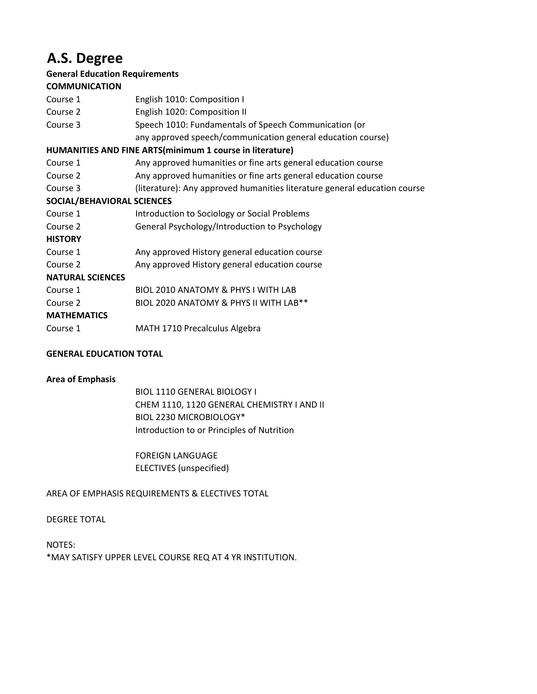# **A.S. Degree**

# **General Education Requirements**

## **COMMUNICATION**

| Course 1                   | English 1010: Composition I                                               |
|----------------------------|---------------------------------------------------------------------------|
| Course 2                   | English 1020: Composition II                                              |
| Course 3                   | Speech 1010: Fundamentals of Speech Communication (or                     |
|                            | any approved speech/communication general education course)               |
|                            | HUMANITIES AND FINE ARTS(minimum 1 course in literature)                  |
| Course 1                   | Any approved humanities or fine arts general education course             |
| Course 2                   | Any approved humanities or fine arts general education course             |
| Course 3                   | (literature): Any approved humanities literature general education course |
| SOCIAL/BEHAVIORAL SCIENCES |                                                                           |
| Course 1                   | Introduction to Sociology or Social Problems                              |
| Course 2                   | General Psychology/Introduction to Psychology                             |
| <b>HISTORY</b>             |                                                                           |
| Course 1                   | Any approved History general education course                             |
| Course 2                   | Any approved History general education course                             |
| <b>NATURAL SCIENCES</b>    |                                                                           |
| Course 1                   | BIOL 2010 ANATOMY & PHYS I WITH LAB                                       |
| Course 2                   | BIOL 2020 ANATOMY & PHYS II WITH LAB**                                    |
| <b>MATHEMATICS</b>         |                                                                           |
| Course 1                   | MATH 1710 Precalculus Algebra                                             |
|                            |                                                                           |

## **GENERAL EDUCATION TOTAL**

#### **Area of Emphasis**

BIOL 1110 GENERAL BIOLOGY I CHEM 1110, 1120 GENERAL CHEMISTRY I AND II BIOL 2230 MICROBIOLOGY\* Introduction to or Principles of Nutrition

FOREIGN LANGUAGE ELECTIVES (unspecified)

## AREA OF EMPHASIS REQUIREMENTS & ELECTIVES TOTAL

#### DEGREE TOTAL

NOTES: \*MAY SATISFY UPPER LEVEL COURSE REQ AT 4 YR INSTITUTION.